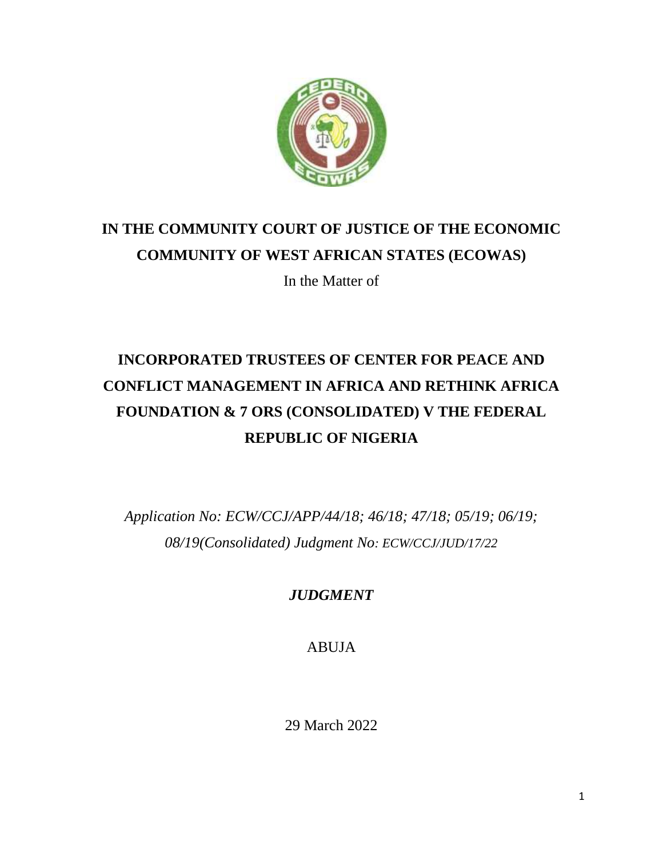

## **IN THE COMMUNITY COURT OF JUSTICE OF THE ECONOMIC COMMUNITY OF WEST AFRICAN STATES (ECOWAS)**

In the Matter of

# **INCORPORATED TRUSTEES OF CENTER FOR PEACE AND CONFLICT MANAGEMENT IN AFRICA AND RETHINK AFRICA FOUNDATION & 7 ORS (CONSOLIDATED) V THE FEDERAL REPUBLIC OF NIGERIA**

*Application No: ECW/CCJ/APP/44/18; 46/18; 47/18; 05/19; 06/19; 08/19(Consolidated) Judgment No: ECW/CCJ/JUD/17/22*

*JUDGMENT*

ABUJA

29 March 2022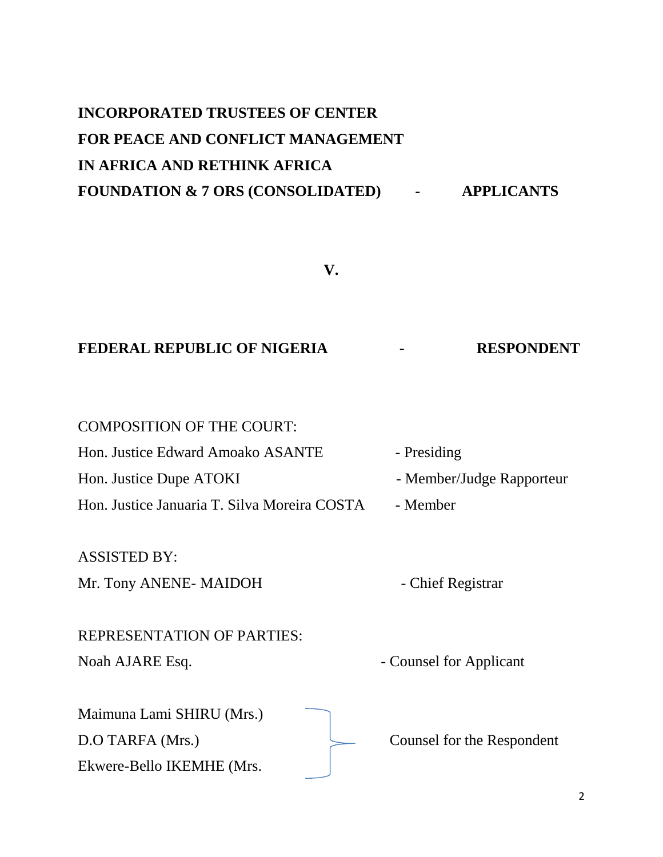# **INCORPORATED TRUSTEES OF CENTER FOR PEACE AND CONFLICT MANAGEMENT IN AFRICA AND RETHINK AFRICA FOUNDATION & 7 ORS (CONSOLIDATED) - APPLICANTS**

**V.**

## **FEDERAL REPUBLIC OF NIGERIA - RESPONDENT**

| <b>COMPOSITION OF THE COURT:</b>             |                           |
|----------------------------------------------|---------------------------|
| Hon. Justice Edward Amoako ASANTE            | - Presiding               |
| Hon. Justice Dupe ATOKI                      | - Member/Judge Rapporteur |
| Hon. Justice Januaria T. Silva Moreira COSTA | - Member                  |

ASSISTED BY:

Mr. Tony ANENE- MAIDOH - Chief Registrar

REPRESENTATION OF PARTIES: Noah AJARE Esq.  $\blacksquare$ 

Maimuna Lami SHIRU (Mrs.) D.O TARFA (Mrs.) Counsel for the Respondent Ekwere-Bello IKEMHE (Mrs.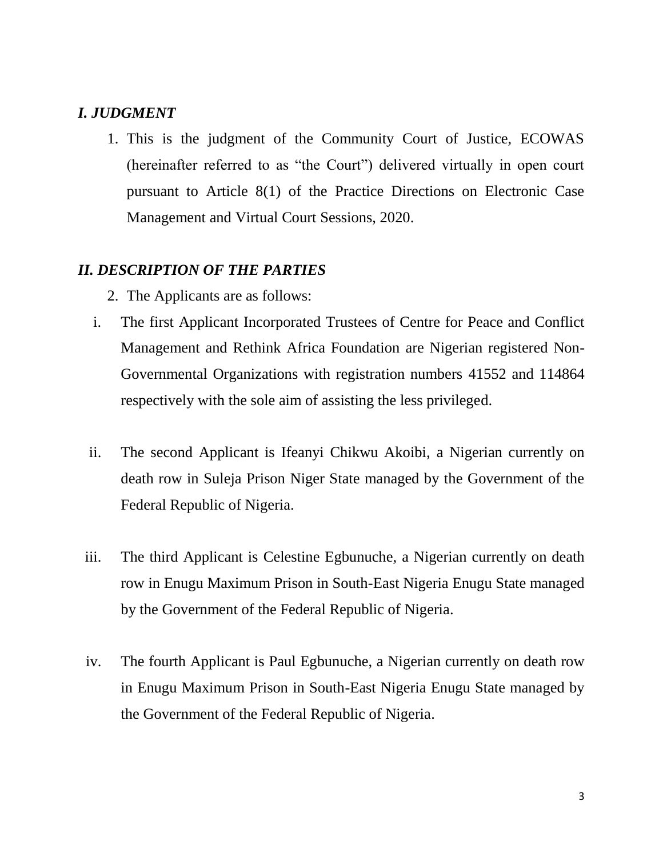## *I. JUDGMENT*

1. This is the judgment of the Community Court of Justice, ECOWAS (hereinafter referred to as "the Court") delivered virtually in open court pursuant to Article 8(1) of the Practice Directions on Electronic Case Management and Virtual Court Sessions, 2020.

## *II. DESCRIPTION OF THE PARTIES*

- 2. The Applicants are as follows:
- i. The first Applicant Incorporated Trustees of Centre for Peace and Conflict Management and Rethink Africa Foundation are Nigerian registered Non-Governmental Organizations with registration numbers 41552 and 114864 respectively with the sole aim of assisting the less privileged.
- ii. The second Applicant is Ifeanyi Chikwu Akoibi, a Nigerian currently on death row in Suleja Prison Niger State managed by the Government of the Federal Republic of Nigeria.
- iii. The third Applicant is Celestine Egbunuche, a Nigerian currently on death row in Enugu Maximum Prison in South-East Nigeria Enugu State managed by the Government of the Federal Republic of Nigeria.
- iv. The fourth Applicant is Paul Egbunuche, a Nigerian currently on death row in Enugu Maximum Prison in South-East Nigeria Enugu State managed by the Government of the Federal Republic of Nigeria.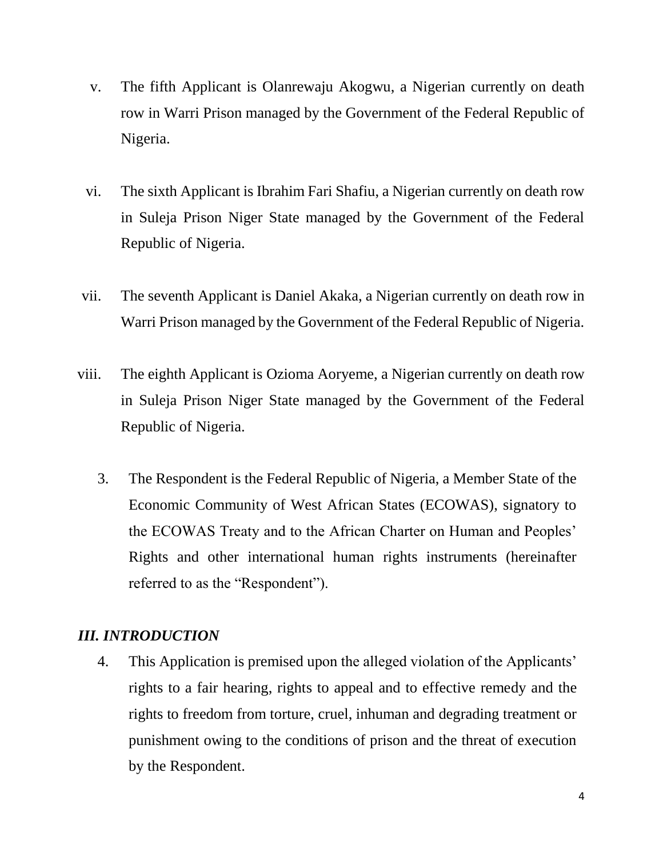- v. The fifth Applicant is Olanrewaju Akogwu, a Nigerian currently on death row in Warri Prison managed by the Government of the Federal Republic of Nigeria.
- vi. The sixth Applicant is Ibrahim Fari Shafiu, a Nigerian currently on death row in Suleja Prison Niger State managed by the Government of the Federal Republic of Nigeria.
- vii. The seventh Applicant is Daniel Akaka, a Nigerian currently on death row in Warri Prison managed by the Government of the Federal Republic of Nigeria.
- viii. The eighth Applicant is Ozioma Aoryeme, a Nigerian currently on death row in Suleja Prison Niger State managed by the Government of the Federal Republic of Nigeria.
	- 3. The Respondent is the Federal Republic of Nigeria, a Member State of the Economic Community of West African States (ECOWAS), signatory to the ECOWAS Treaty and to the African Charter on Human and Peoples' Rights and other international human rights instruments (hereinafter referred to as the "Respondent").

## *III. INTRODUCTION*

4. This Application is premised upon the alleged violation of the Applicants' rights to a fair hearing, rights to appeal and to effective remedy and the rights to freedom from torture, cruel, inhuman and degrading treatment or punishment owing to the conditions of prison and the threat of execution by the Respondent.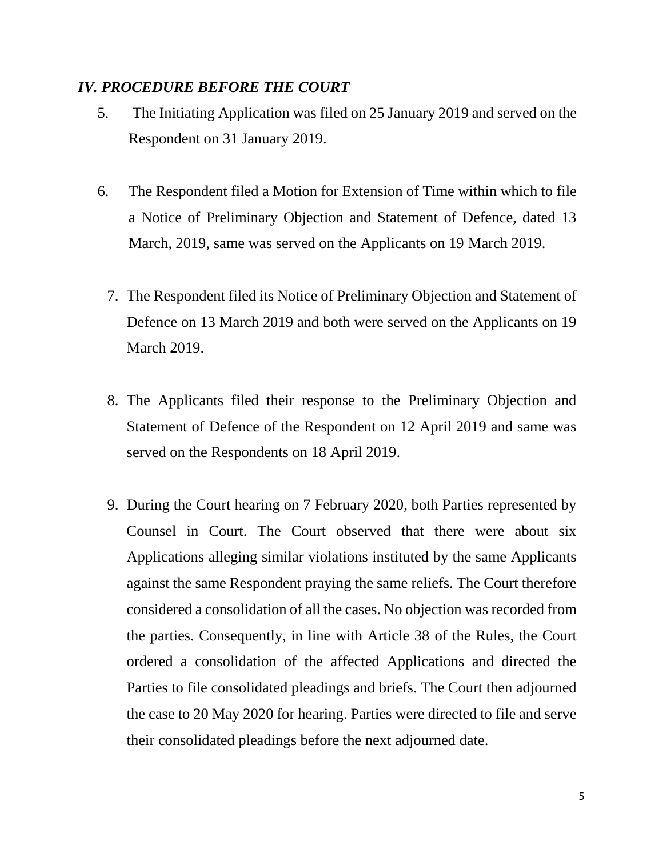### *IV. PROCEDURE BEFORE THE COURT*

- 5. The Initiating Application was filed on 25 January 2019 and served on the Respondent on 31 January 2019.
- 6. The Respondent filed a Motion for Extension of Time within which to file a Notice of Preliminary Objection and Statement of Defence, dated 13 March, 2019, same was served on the Applicants on 19 March 2019.
	- 7. The Respondent filed its Notice of Preliminary Objection and Statement of Defence on 13 March 2019 and both were served on the Applicants on 19 March 2019.
	- 8. The Applicants filed their response to the Preliminary Objection and Statement of Defence of the Respondent on 12 April 2019 and same was served on the Respondents on 18 April 2019.
	- 9. During the Court hearing on 7 February 2020, both Parties represented by Counsel in Court. The Court observed that there were about six Applications alleging similar violations instituted by the same Applicants against the same Respondent praying the same reliefs. The Court therefore considered a consolidation of all the cases. No objection was recorded from the parties. Consequently, in line with Article 38 of the Rules, the Court ordered a consolidation of the affected Applications and directed the Parties to file consolidated pleadings and briefs. The Court then adjourned the case to 20 May 2020 for hearing. Parties were directed to file and serve their consolidated pleadings before the next adjourned date.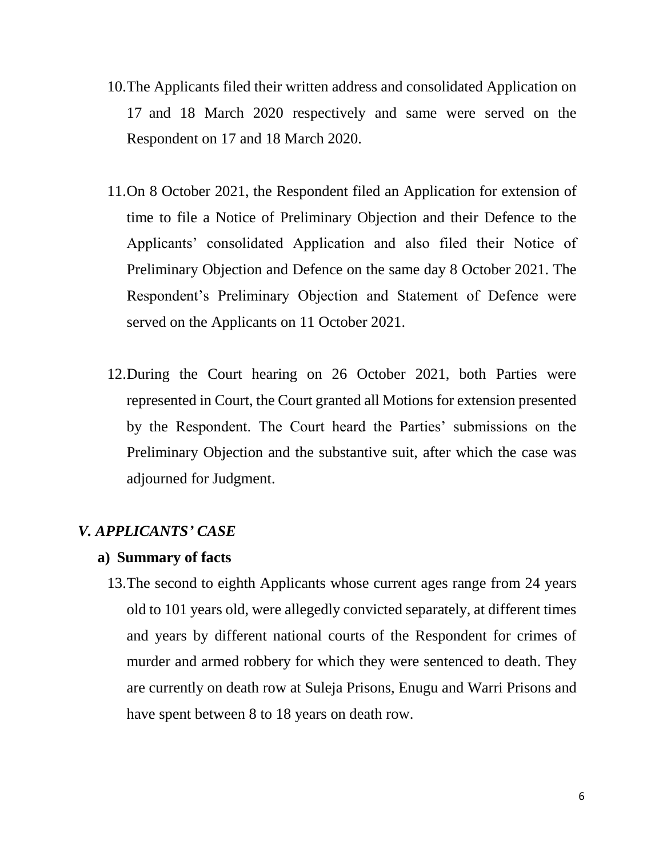- 10.The Applicants filed their written address and consolidated Application on 17 and 18 March 2020 respectively and same were served on the Respondent on 17 and 18 March 2020.
- 11.On 8 October 2021, the Respondent filed an Application for extension of time to file a Notice of Preliminary Objection and their Defence to the Applicants' consolidated Application and also filed their Notice of Preliminary Objection and Defence on the same day 8 October 2021. The Respondent's Preliminary Objection and Statement of Defence were served on the Applicants on 11 October 2021.
- 12.During the Court hearing on 26 October 2021, both Parties were represented in Court, the Court granted all Motions for extension presented by the Respondent. The Court heard the Parties' submissions on the Preliminary Objection and the substantive suit, after which the case was adjourned for Judgment.

## *V. APPLICANTS' CASE*

## **a) Summary of facts**

13.The second to eighth Applicants whose current ages range from 24 years old to 101 years old, were allegedly convicted separately, at different times and years by different national courts of the Respondent for crimes of murder and armed robbery for which they were sentenced to death. They are currently on death row at Suleja Prisons, Enugu and Warri Prisons and have spent between 8 to 18 years on death row.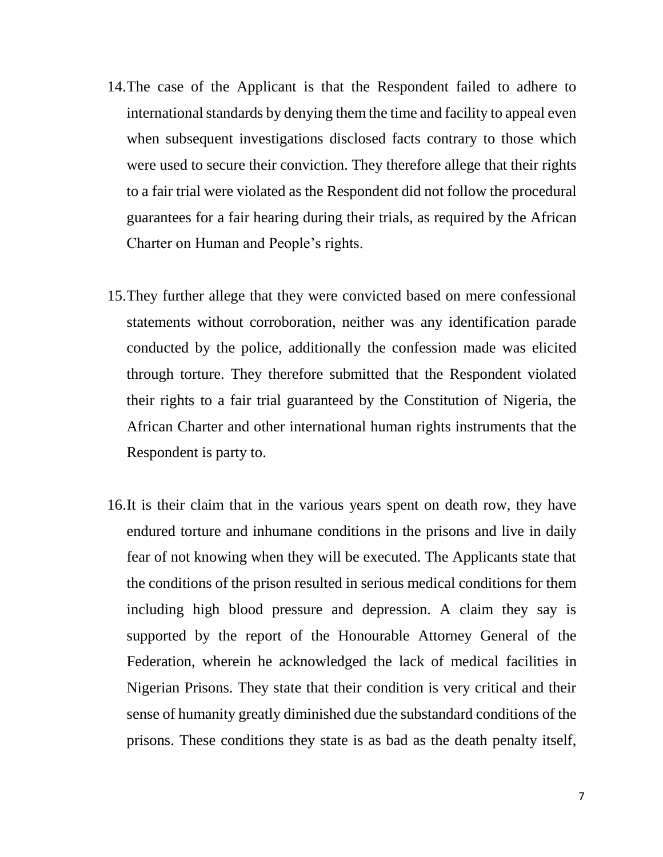- 14.The case of the Applicant is that the Respondent failed to adhere to international standards by denying them the time and facility to appeal even when subsequent investigations disclosed facts contrary to those which were used to secure their conviction. They therefore allege that their rights to a fair trial were violated as the Respondent did not follow the procedural guarantees for a fair hearing during their trials, as required by the African Charter on Human and People's rights.
- 15.They further allege that they were convicted based on mere confessional statements without corroboration, neither was any identification parade conducted by the police, additionally the confession made was elicited through torture. They therefore submitted that the Respondent violated their rights to a fair trial guaranteed by the Constitution of Nigeria, the African Charter and other international human rights instruments that the Respondent is party to.
- 16.It is their claim that in the various years spent on death row, they have endured torture and inhumane conditions in the prisons and live in daily fear of not knowing when they will be executed. The Applicants state that the conditions of the prison resulted in serious medical conditions for them including high blood pressure and depression. A claim they say is supported by the report of the Honourable Attorney General of the Federation, wherein he acknowledged the lack of medical facilities in Nigerian Prisons. They state that their condition is very critical and their sense of humanity greatly diminished due the substandard conditions of the prisons. These conditions they state is as bad as the death penalty itself,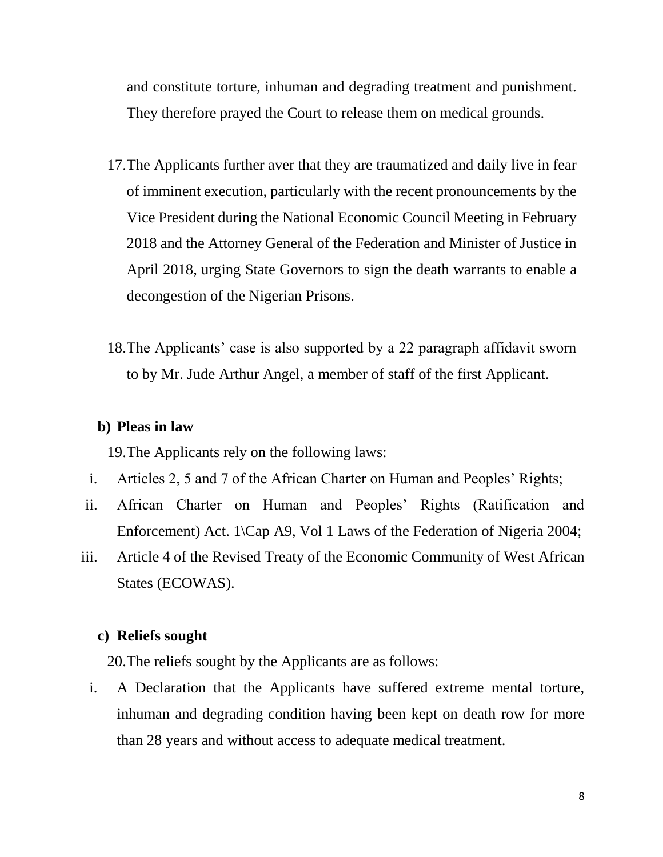and constitute torture, inhuman and degrading treatment and punishment. They therefore prayed the Court to release them on medical grounds.

- 17.The Applicants further aver that they are traumatized and daily live in fear of imminent execution, particularly with the recent pronouncements by the Vice President during the National Economic Council Meeting in February 2018 and the Attorney General of the Federation and Minister of Justice in April 2018, urging State Governors to sign the death warrants to enable a decongestion of the Nigerian Prisons.
- 18.The Applicants' case is also supported by a 22 paragraph affidavit sworn to by Mr. Jude Arthur Angel, a member of staff of the first Applicant.

#### **b) Pleas in law**

19.The Applicants rely on the following laws:

- i. Articles 2, 5 and 7 of the African Charter on Human and Peoples' Rights;
- ii. African Charter on Human and Peoples' Rights (Ratification and Enforcement) Act. 1\Cap A9, Vol 1 Laws of the Federation of Nigeria 2004;
- iii. Article 4 of the Revised Treaty of the Economic Community of West African States (ECOWAS).

#### **c) Reliefs sought**

20.The reliefs sought by the Applicants are as follows:

i. A Declaration that the Applicants have suffered extreme mental torture, inhuman and degrading condition having been kept on death row for more than 28 years and without access to adequate medical treatment.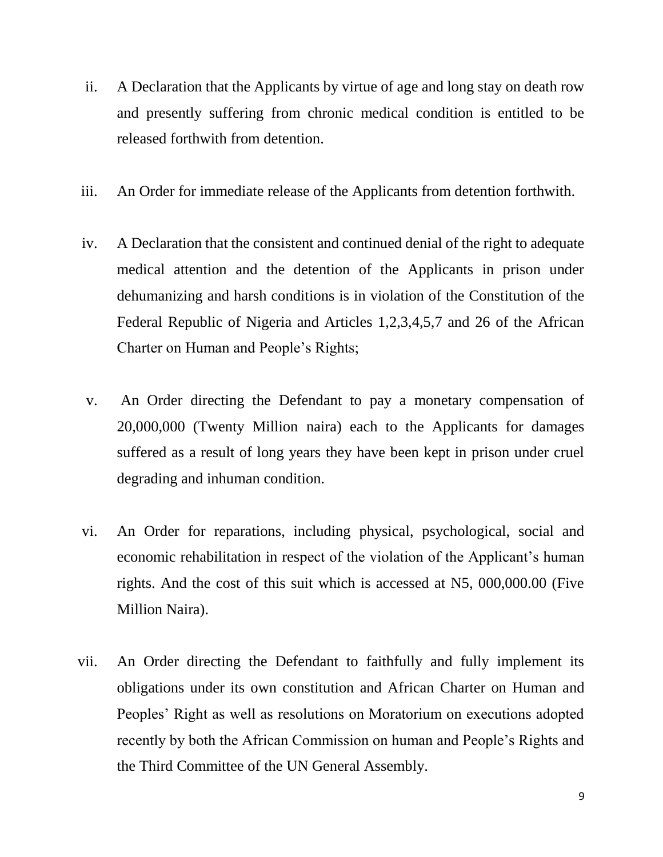- ii. A Declaration that the Applicants by virtue of age and long stay on death row and presently suffering from chronic medical condition is entitled to be released forthwith from detention.
- iii. An Order for immediate release of the Applicants from detention forthwith.
- iv. A Declaration that the consistent and continued denial of the right to adequate medical attention and the detention of the Applicants in prison under dehumanizing and harsh conditions is in violation of the Constitution of the Federal Republic of Nigeria and Articles 1,2,3,4,5,7 and 26 of the African Charter on Human and People's Rights;
- v. An Order directing the Defendant to pay a monetary compensation of 20,000,000 (Twenty Million naira) each to the Applicants for damages suffered as a result of long years they have been kept in prison under cruel degrading and inhuman condition.
- vi. An Order for reparations, including physical, psychological, social and economic rehabilitation in respect of the violation of the Applicant's human rights. And the cost of this suit which is accessed at N5, 000,000.00 (Five Million Naira).
- vii. An Order directing the Defendant to faithfully and fully implement its obligations under its own constitution and African Charter on Human and Peoples' Right as well as resolutions on Moratorium on executions adopted recently by both the African Commission on human and People's Rights and the Third Committee of the UN General Assembly.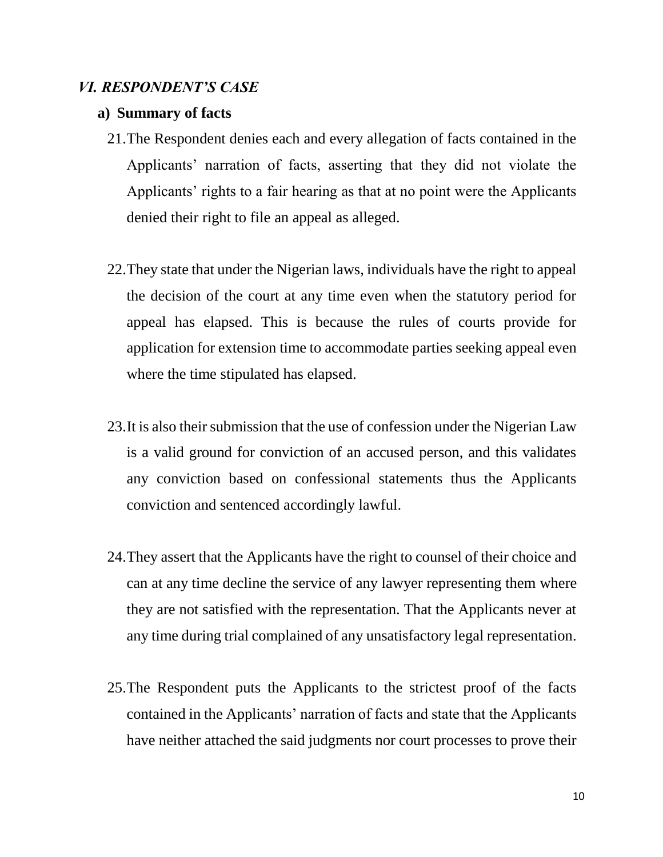## *VI. RESPONDENT'S CASE*

#### **a) Summary of facts**

- 21.The Respondent denies each and every allegation of facts contained in the Applicants' narration of facts, asserting that they did not violate the Applicants' rights to a fair hearing as that at no point were the Applicants denied their right to file an appeal as alleged.
- 22.They state that under the Nigerian laws, individuals have the right to appeal the decision of the court at any time even when the statutory period for appeal has elapsed. This is because the rules of courts provide for application for extension time to accommodate parties seeking appeal even where the time stipulated has elapsed.
- 23.It is also their submission that the use of confession under the Nigerian Law is a valid ground for conviction of an accused person, and this validates any conviction based on confessional statements thus the Applicants conviction and sentenced accordingly lawful.
- 24.They assert that the Applicants have the right to counsel of their choice and can at any time decline the service of any lawyer representing them where they are not satisfied with the representation. That the Applicants never at any time during trial complained of any unsatisfactory legal representation.
- 25.The Respondent puts the Applicants to the strictest proof of the facts contained in the Applicants' narration of facts and state that the Applicants have neither attached the said judgments nor court processes to prove their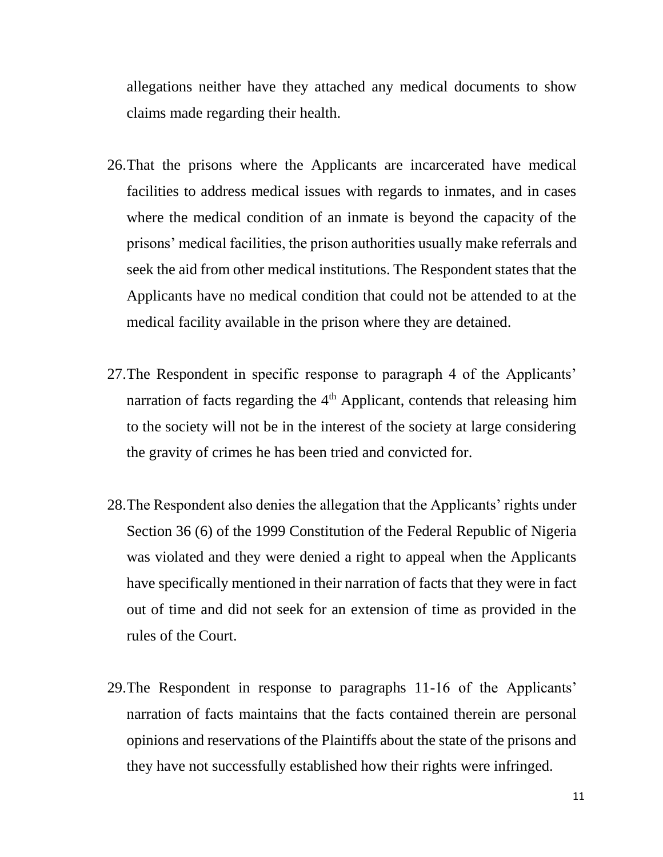allegations neither have they attached any medical documents to show claims made regarding their health.

- 26.That the prisons where the Applicants are incarcerated have medical facilities to address medical issues with regards to inmates, and in cases where the medical condition of an inmate is beyond the capacity of the prisons' medical facilities, the prison authorities usually make referrals and seek the aid from other medical institutions. The Respondent states that the Applicants have no medical condition that could not be attended to at the medical facility available in the prison where they are detained.
- 27.The Respondent in specific response to paragraph 4 of the Applicants' narration of facts regarding the  $4<sup>th</sup>$  Applicant, contends that releasing him to the society will not be in the interest of the society at large considering the gravity of crimes he has been tried and convicted for.
- 28.The Respondent also denies the allegation that the Applicants' rights under Section 36 (6) of the 1999 Constitution of the Federal Republic of Nigeria was violated and they were denied a right to appeal when the Applicants have specifically mentioned in their narration of facts that they were in fact out of time and did not seek for an extension of time as provided in the rules of the Court.
- 29.The Respondent in response to paragraphs 11-16 of the Applicants' narration of facts maintains that the facts contained therein are personal opinions and reservations of the Plaintiffs about the state of the prisons and they have not successfully established how their rights were infringed.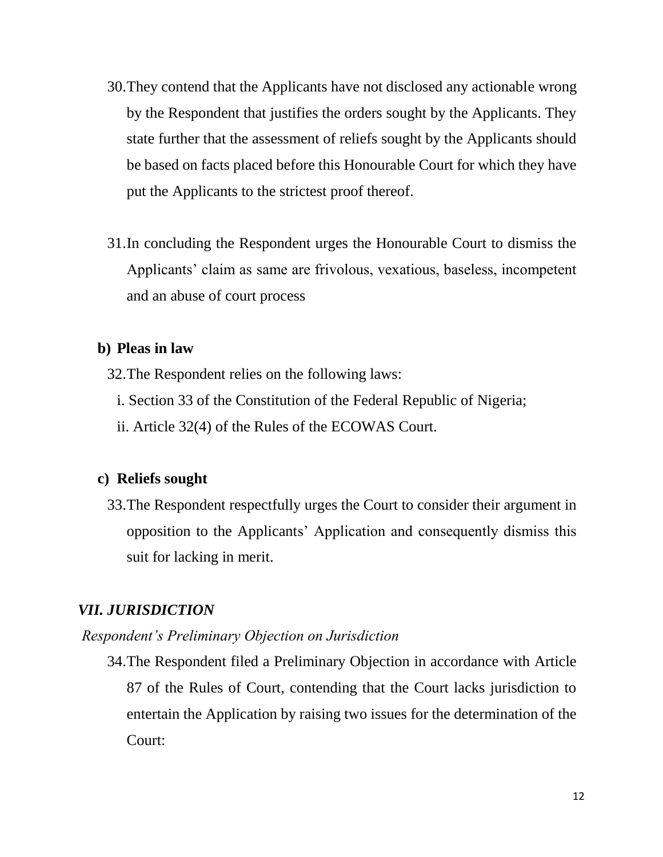- 30.They contend that the Applicants have not disclosed any actionable wrong by the Respondent that justifies the orders sought by the Applicants. They state further that the assessment of reliefs sought by the Applicants should be based on facts placed before this Honourable Court for which they have put the Applicants to the strictest proof thereof.
- 31.In concluding the Respondent urges the Honourable Court to dismiss the Applicants' claim as same are frivolous, vexatious, baseless, incompetent and an abuse of court process

## **b) Pleas in law**

- 32.The Respondent relies on the following laws:
	- i. Section 33 of the Constitution of the Federal Republic of Nigeria;
	- ii. Article 32(4) of the Rules of the ECOWAS Court.

## **c) Reliefs sought**

33.The Respondent respectfully urges the Court to consider their argument in opposition to the Applicants' Application and consequently dismiss this suit for lacking in merit.

## *VII. JURISDICTION*

*Respondent's Preliminary Objection on Jurisdiction*

34.The Respondent filed a Preliminary Objection in accordance with Article 87 of the Rules of Court, contending that the Court lacks jurisdiction to entertain the Application by raising two issues for the determination of the Court: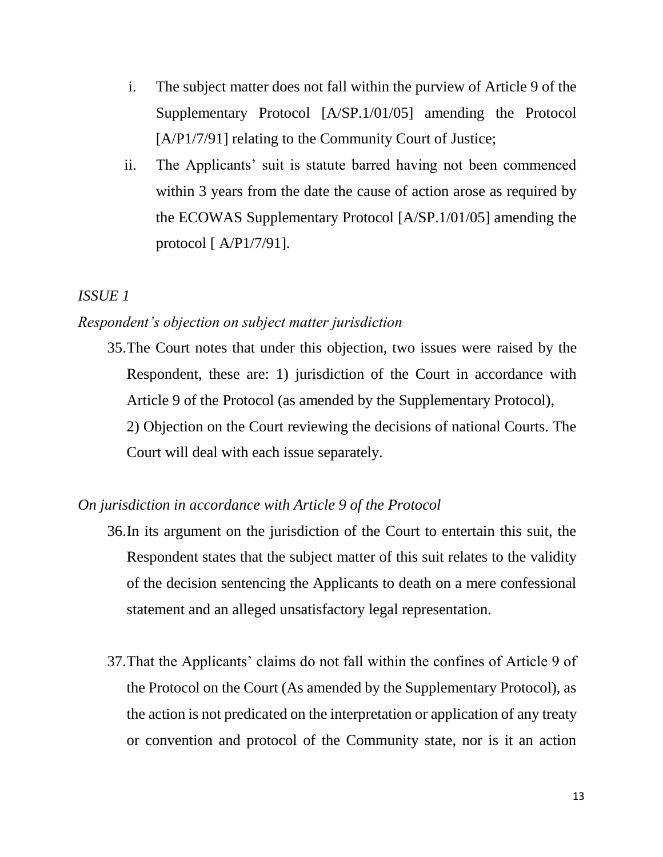- i. The subject matter does not fall within the purview of Article 9 of the Supplementary Protocol [A/SP.1/01/05] amending the Protocol [A/P1/7/91] relating to the Community Court of Justice;
- ii. The Applicants' suit is statute barred having not been commenced within 3 years from the date the cause of action arose as required by the ECOWAS Supplementary Protocol [A/SP.1/01/05] amending the protocol [ A/P1/7/91].

## *ISSUE 1*

## *Respondent's objection on subject matter jurisdiction*

35.The Court notes that under this objection, two issues were raised by the Respondent, these are: 1) jurisdiction of the Court in accordance with Article 9 of the Protocol (as amended by the Supplementary Protocol), 2) Objection on the Court reviewing the decisions of national Courts. The Court will deal with each issue separately.

## *On jurisdiction in accordance with Article 9 of the Protocol*

- 36.In its argument on the jurisdiction of the Court to entertain this suit, the Respondent states that the subject matter of this suit relates to the validity of the decision sentencing the Applicants to death on a mere confessional statement and an alleged unsatisfactory legal representation.
- 37.That the Applicants' claims do not fall within the confines of Article 9 of the Protocol on the Court (As amended by the Supplementary Protocol), as the action is not predicated on the interpretation or application of any treaty or convention and protocol of the Community state, nor is it an action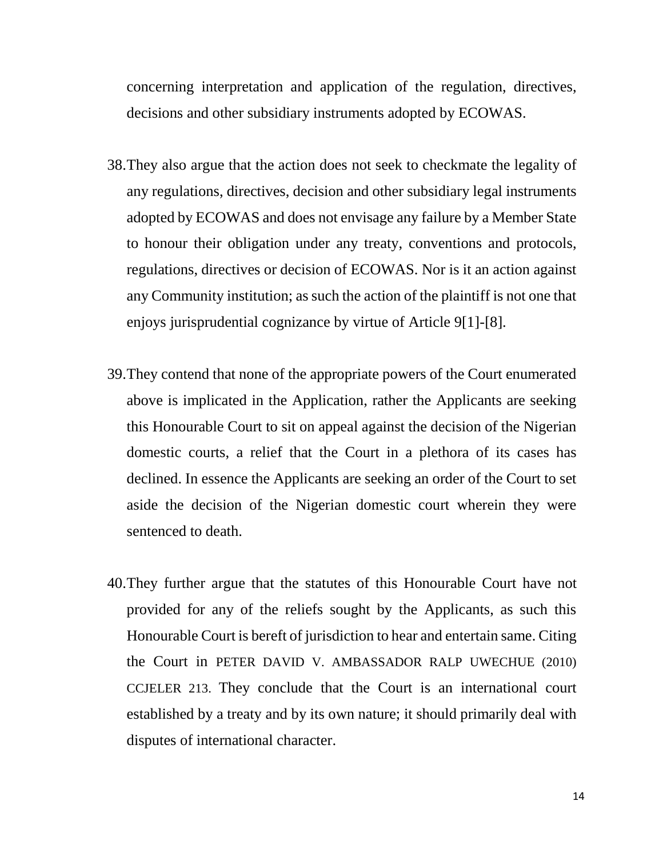concerning interpretation and application of the regulation, directives, decisions and other subsidiary instruments adopted by ECOWAS.

- 38.They also argue that the action does not seek to checkmate the legality of any regulations, directives, decision and other subsidiary legal instruments adopted by ECOWAS and does not envisage any failure by a Member State to honour their obligation under any treaty, conventions and protocols, regulations, directives or decision of ECOWAS. Nor is it an action against any Community institution; as such the action of the plaintiff is not one that enjoys jurisprudential cognizance by virtue of Article 9[1]-[8].
- 39.They contend that none of the appropriate powers of the Court enumerated above is implicated in the Application, rather the Applicants are seeking this Honourable Court to sit on appeal against the decision of the Nigerian domestic courts, a relief that the Court in a plethora of its cases has declined. In essence the Applicants are seeking an order of the Court to set aside the decision of the Nigerian domestic court wherein they were sentenced to death.
- 40.They further argue that the statutes of this Honourable Court have not provided for any of the reliefs sought by the Applicants, as such this Honourable Court is bereft of jurisdiction to hear and entertain same. Citing the Court in PETER DAVID V. AMBASSADOR RALP UWECHUE (2010) CCJELER 213. They conclude that the Court is an international court established by a treaty and by its own nature; it should primarily deal with disputes of international character.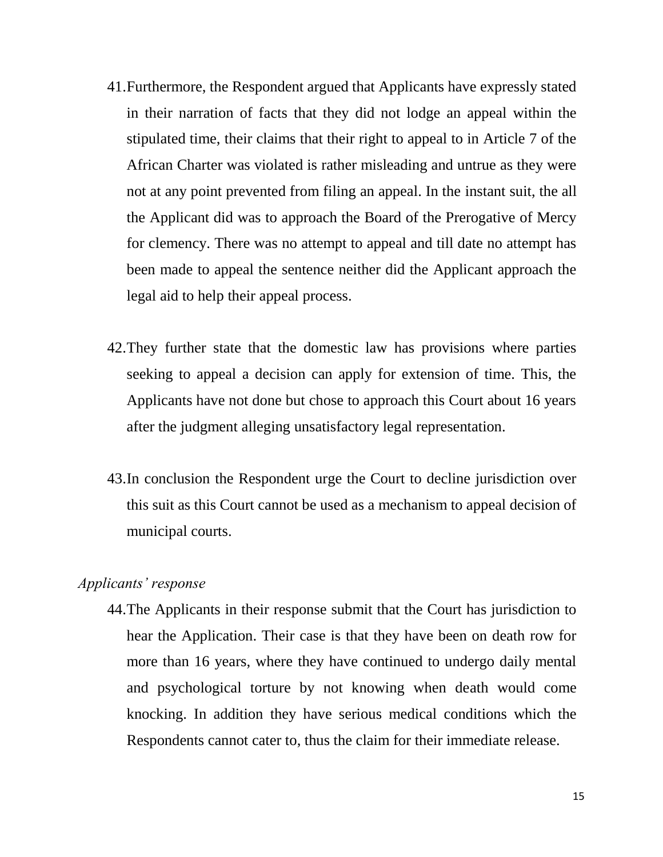- 41.Furthermore, the Respondent argued that Applicants have expressly stated in their narration of facts that they did not lodge an appeal within the stipulated time, their claims that their right to appeal to in Article 7 of the African Charter was violated is rather misleading and untrue as they were not at any point prevented from filing an appeal. In the instant suit, the all the Applicant did was to approach the Board of the Prerogative of Mercy for clemency. There was no attempt to appeal and till date no attempt has been made to appeal the sentence neither did the Applicant approach the legal aid to help their appeal process.
- 42.They further state that the domestic law has provisions where parties seeking to appeal a decision can apply for extension of time. This, the Applicants have not done but chose to approach this Court about 16 years after the judgment alleging unsatisfactory legal representation.
- 43.In conclusion the Respondent urge the Court to decline jurisdiction over this suit as this Court cannot be used as a mechanism to appeal decision of municipal courts.

## *Applicants' response*

44.The Applicants in their response submit that the Court has jurisdiction to hear the Application. Their case is that they have been on death row for more than 16 years, where they have continued to undergo daily mental and psychological torture by not knowing when death would come knocking. In addition they have serious medical conditions which the Respondents cannot cater to, thus the claim for their immediate release.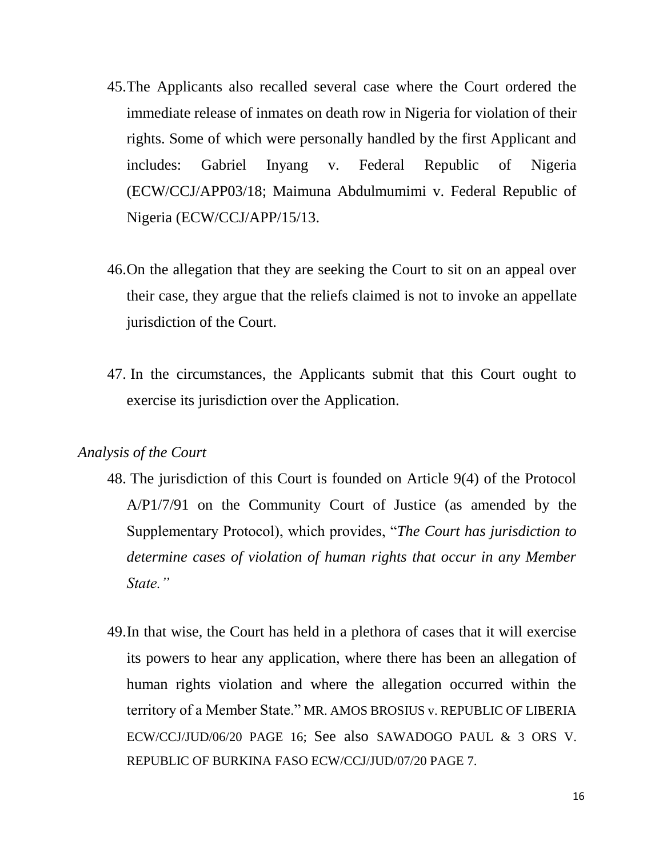- 45.The Applicants also recalled several case where the Court ordered the immediate release of inmates on death row in Nigeria for violation of their rights. Some of which were personally handled by the first Applicant and includes: Gabriel Inyang v. Federal Republic of Nigeria (ECW/CCJ/APP03/18; Maimuna Abdulmumimi v. Federal Republic of Nigeria (ECW/CCJ/APP/15/13.
- 46.On the allegation that they are seeking the Court to sit on an appeal over their case, they argue that the reliefs claimed is not to invoke an appellate jurisdiction of the Court.
- 47. In the circumstances, the Applicants submit that this Court ought to exercise its jurisdiction over the Application.

## *Analysis of the Court*

- 48. The jurisdiction of this Court is founded on Article 9(4) of the Protocol A/P1/7/91 on the Community Court of Justice (as amended by the Supplementary Protocol), which provides, "*The Court has jurisdiction to determine cases of violation of human rights that occur in any Member State."*
- 49.In that wise, the Court has held in a plethora of cases that it will exercise its powers to hear any application, where there has been an allegation of human rights violation and where the allegation occurred within the territory of a Member State." MR. AMOS BROSIUS v. REPUBLIC OF LIBERIA ECW/CCJ/JUD/06/20 PAGE 16; See also SAWADOGO PAUL & 3 ORS V. REPUBLIC OF BURKINA FASO ECW/CCJ/JUD/07/20 PAGE 7.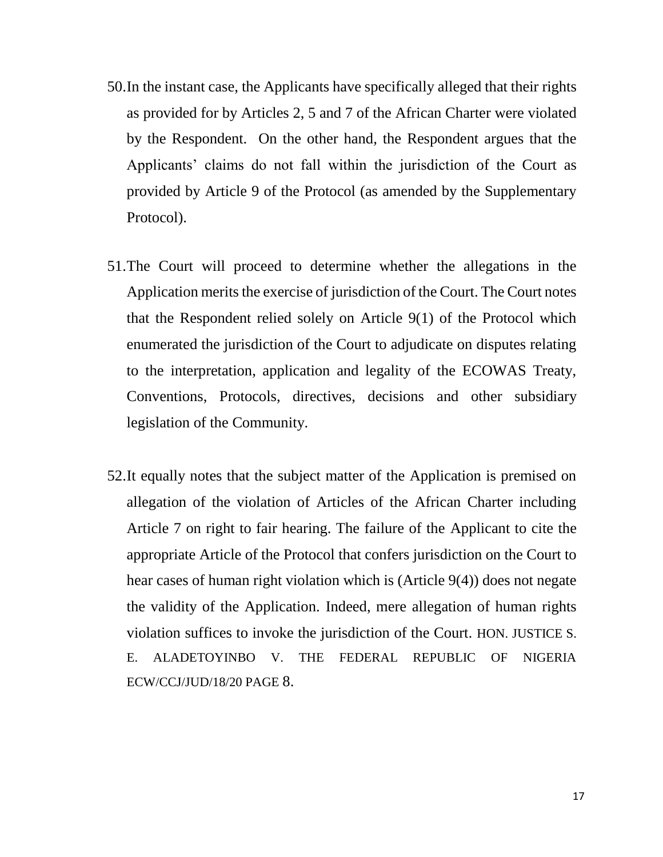- 50.In the instant case, the Applicants have specifically alleged that their rights as provided for by Articles 2, 5 and 7 of the African Charter were violated by the Respondent. On the other hand, the Respondent argues that the Applicants' claims do not fall within the jurisdiction of the Court as provided by Article 9 of the Protocol (as amended by the Supplementary Protocol).
- 51.The Court will proceed to determine whether the allegations in the Application merits the exercise of jurisdiction of the Court. The Court notes that the Respondent relied solely on Article 9(1) of the Protocol which enumerated the jurisdiction of the Court to adjudicate on disputes relating to the interpretation, application and legality of the ECOWAS Treaty, Conventions, Protocols, directives, decisions and other subsidiary legislation of the Community.
- 52.It equally notes that the subject matter of the Application is premised on allegation of the violation of Articles of the African Charter including Article 7 on right to fair hearing. The failure of the Applicant to cite the appropriate Article of the Protocol that confers jurisdiction on the Court to hear cases of human right violation which is (Article 9(4)) does not negate the validity of the Application. Indeed, mere allegation of human rights violation suffices to invoke the jurisdiction of the Court*.* HON. JUSTICE S. E. ALADETOYINBO V. THE FEDERAL REPUBLIC OF NIGERIA ECW/CCJ/JUD/18/20 PAGE 8.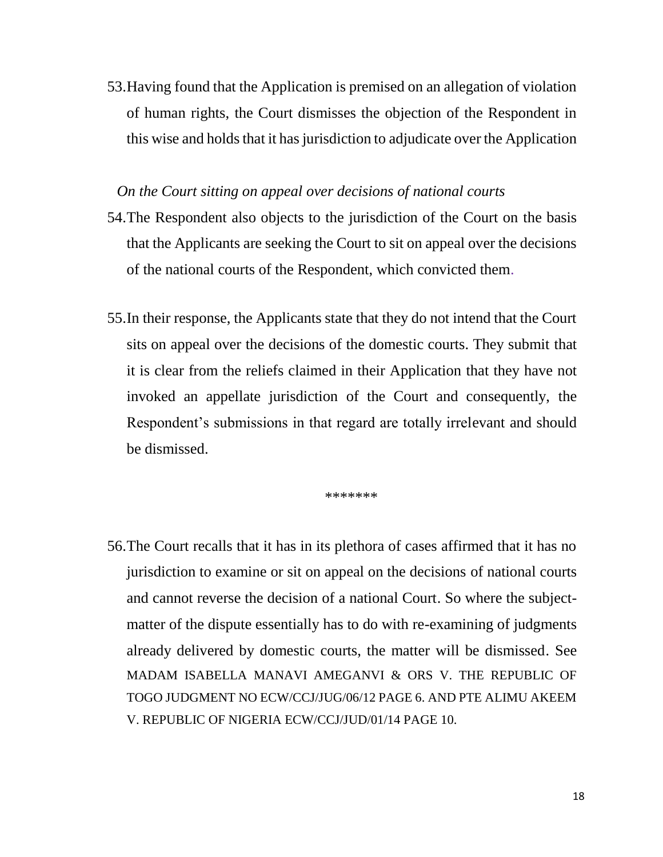53.Having found that the Application is premised on an allegation of violation of human rights, the Court dismisses the objection of the Respondent in this wise and holds that it has jurisdiction to adjudicate over the Application

## *On the Court sitting on appeal over decisions of national courts*

- 54.The Respondent also objects to the jurisdiction of the Court on the basis that the Applicants are seeking the Court to sit on appeal over the decisions of the national courts of the Respondent, which convicted them.
- 55.In their response, the Applicants state that they do not intend that the Court sits on appeal over the decisions of the domestic courts. They submit that it is clear from the reliefs claimed in their Application that they have not invoked an appellate jurisdiction of the Court and consequently, the Respondent's submissions in that regard are totally irrelevant and should be dismissed.

\*\*\*\*\*\*\*

56.The Court recalls that it has in its plethora of cases affirmed that it has no jurisdiction to examine or sit on appeal on the decisions of national courts and cannot reverse the decision of a national Court. So where the subjectmatter of the dispute essentially has to do with re-examining of judgments already delivered by domestic courts, the matter will be dismissed. See MADAM ISABELLA MANAVI AMEGANVI & ORS V. THE REPUBLIC OF TOGO JUDGMENT NO ECW/CCJ/JUG/06/12 PAGE 6. AND PTE ALIMU AKEEM V. REPUBLIC OF NIGERIA ECW/CCJ/JUD/01/14 PAGE 10.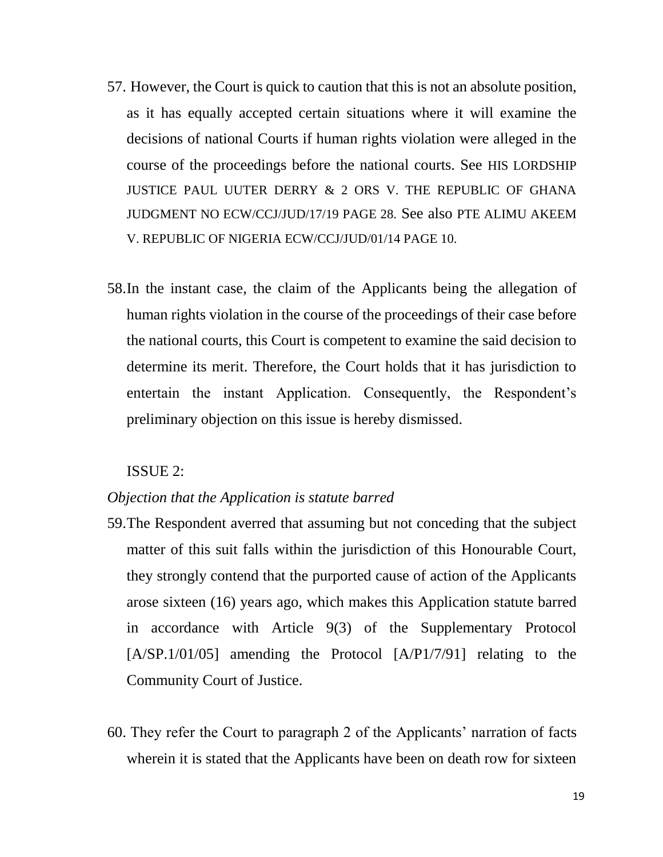- 57. However, the Court is quick to caution that this is not an absolute position, as it has equally accepted certain situations where it will examine the decisions of national Courts if human rights violation were alleged in the course of the proceedings before the national courts. See HIS LORDSHIP JUSTICE PAUL UUTER DERRY & 2 ORS V. THE REPUBLIC OF GHANA JUDGMENT NO ECW/CCJ/JUD/17/19 PAGE 28. See also PTE ALIMU AKEEM V. REPUBLIC OF NIGERIA ECW/CCJ/JUD/01/14 PAGE 10.
- 58.In the instant case, the claim of the Applicants being the allegation of human rights violation in the course of the proceedings of their case before the national courts, this Court is competent to examine the said decision to determine its merit. Therefore, the Court holds that it has jurisdiction to entertain the instant Application. Consequently, the Respondent's preliminary objection on this issue is hereby dismissed.

## ISSUE 2:

#### *Objection that the Application is statute barred*

- 59.The Respondent averred that assuming but not conceding that the subject matter of this suit falls within the jurisdiction of this Honourable Court, they strongly contend that the purported cause of action of the Applicants arose sixteen (16) years ago, which makes this Application statute barred in accordance with Article 9(3) of the Supplementary Protocol [A/SP.1/01/05] amending the Protocol [A/P1/7/91] relating to the Community Court of Justice.
- 60. They refer the Court to paragraph 2 of the Applicants' narration of facts wherein it is stated that the Applicants have been on death row for sixteen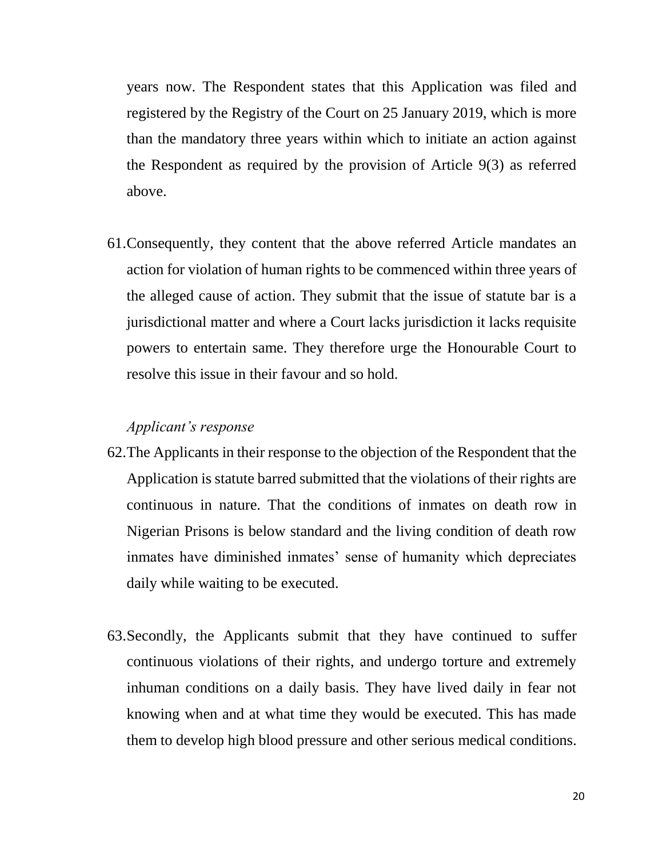years now. The Respondent states that this Application was filed and registered by the Registry of the Court on 25 January 2019, which is more than the mandatory three years within which to initiate an action against the Respondent as required by the provision of Article 9(3) as referred above.

61.Consequently, they content that the above referred Article mandates an action for violation of human rights to be commenced within three years of the alleged cause of action. They submit that the issue of statute bar is a jurisdictional matter and where a Court lacks jurisdiction it lacks requisite powers to entertain same. They therefore urge the Honourable Court to resolve this issue in their favour and so hold.

#### *Applicant's response*

- 62.The Applicants in their response to the objection of the Respondent that the Application is statute barred submitted that the violations of their rights are continuous in nature. That the conditions of inmates on death row in Nigerian Prisons is below standard and the living condition of death row inmates have diminished inmates' sense of humanity which depreciates daily while waiting to be executed.
- 63.Secondly, the Applicants submit that they have continued to suffer continuous violations of their rights, and undergo torture and extremely inhuman conditions on a daily basis. They have lived daily in fear not knowing when and at what time they would be executed. This has made them to develop high blood pressure and other serious medical conditions.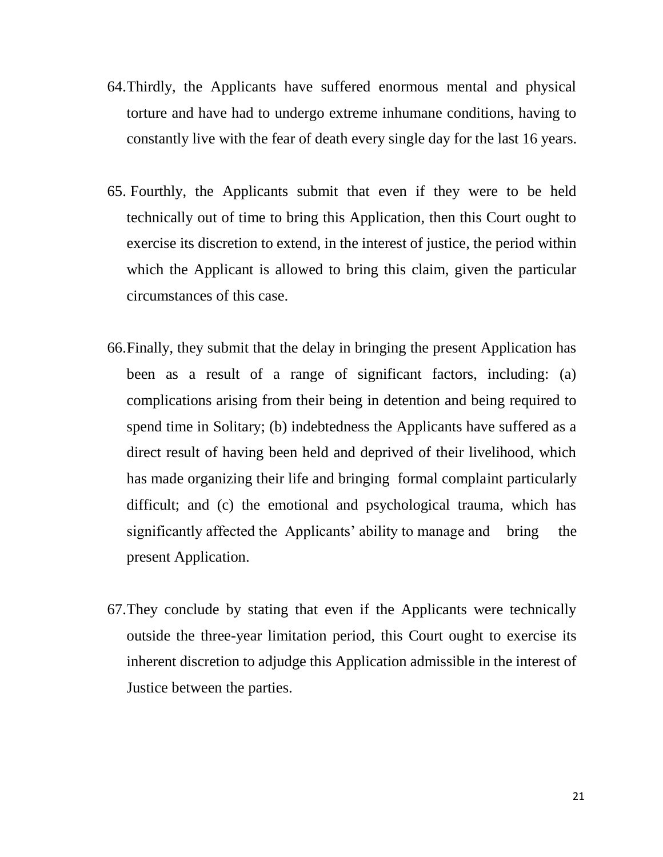- 64.Thirdly, the Applicants have suffered enormous mental and physical torture and have had to undergo extreme inhumane conditions, having to constantly live with the fear of death every single day for the last 16 years.
- 65. Fourthly, the Applicants submit that even if they were to be held technically out of time to bring this Application, then this Court ought to exercise its discretion to extend, in the interest of justice, the period within which the Applicant is allowed to bring this claim, given the particular circumstances of this case.
- 66.Finally, they submit that the delay in bringing the present Application has been as a result of a range of significant factors, including: (a) complications arising from their being in detention and being required to spend time in Solitary; (b) indebtedness the Applicants have suffered as a direct result of having been held and deprived of their livelihood, which has made organizing their life and bringing formal complaint particularly difficult; and (c) the emotional and psychological trauma, which has significantly affected the Applicants' ability to manage and bring the present Application.
- 67.They conclude by stating that even if the Applicants were technically outside the three-year limitation period, this Court ought to exercise its inherent discretion to adjudge this Application admissible in the interest of Justice between the parties.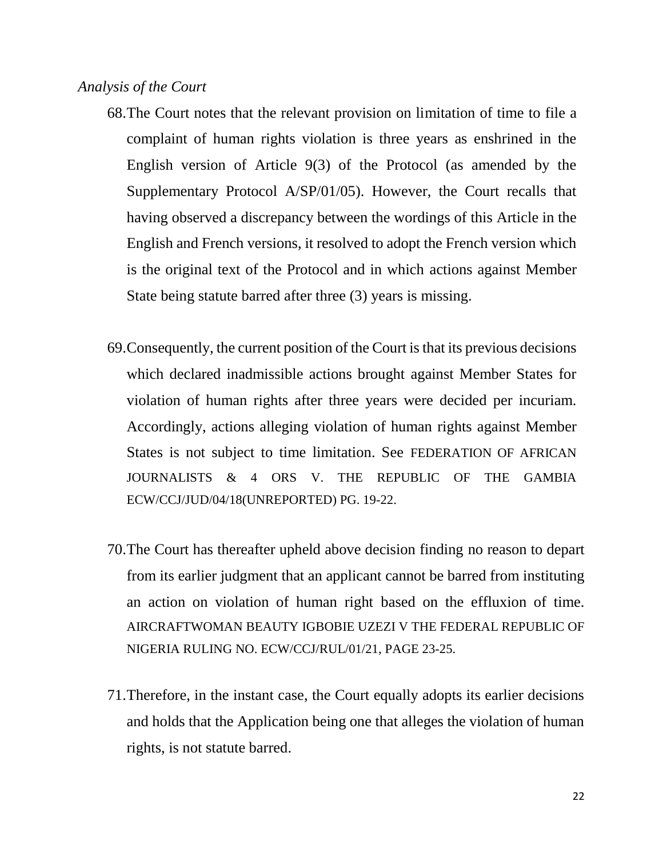#### *Analysis of the Court*

- 68.The Court notes that the relevant provision on limitation of time to file a complaint of human rights violation is three years as enshrined in the English version of Article 9(3) of the Protocol (as amended by the Supplementary Protocol A/SP/01/05). However, the Court recalls that having observed a discrepancy between the wordings of this Article in the English and French versions, it resolved to adopt the French version which is the original text of the Protocol and in which actions against Member State being statute barred after three (3) years is missing.
- 69.Consequently, the current position of the Court is that its previous decisions which declared inadmissible actions brought against Member States for violation of human rights after three years were decided per incuriam. Accordingly, actions alleging violation of human rights against Member States is not subject to time limitation. See FEDERATION OF AFRICAN JOURNALISTS & 4 ORS V. THE REPUBLIC OF THE GAMBIA ECW/CCJ/JUD/04/18(UNREPORTED) PG. 19-22.
- 70.The Court has thereafter upheld above decision finding no reason to depart from its earlier judgment that an applicant cannot be barred from instituting an action on violation of human right based on the effluxion of time. AIRCRAFTWOMAN BEAUTY IGBOBIE UZEZI V THE FEDERAL REPUBLIC OF NIGERIA RULING NO. ECW/CCJ/RUL/01/21, PAGE 23-25.
- 71.Therefore, in the instant case, the Court equally adopts its earlier decisions and holds that the Application being one that alleges the violation of human rights, is not statute barred.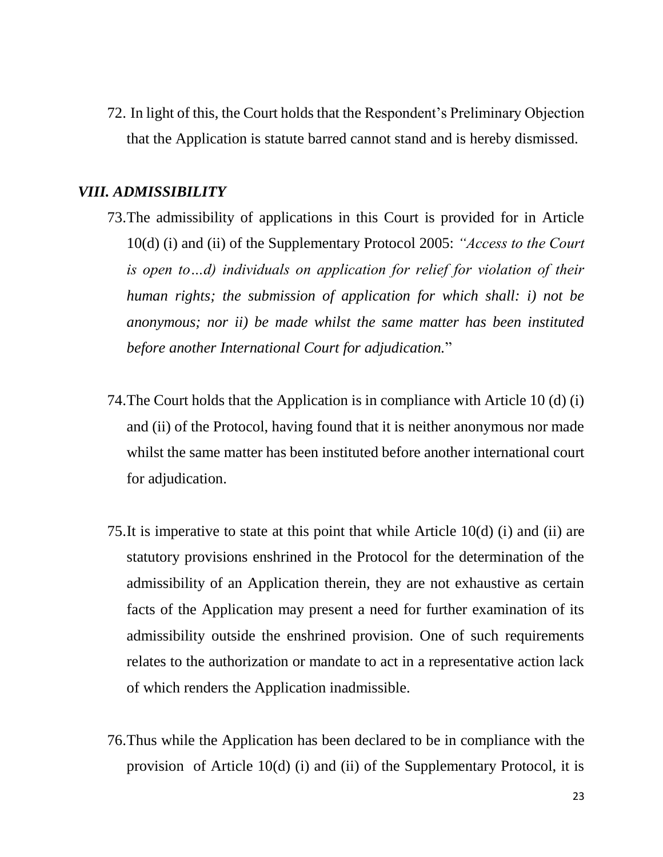72. In light of this, the Court holds that the Respondent's Preliminary Objection that the Application is statute barred cannot stand and is hereby dismissed.

## *VIII. ADMISSIBILITY*

- 73.The admissibility of applications in this Court is provided for in Article 10(d) (i) and (ii) of the Supplementary Protocol 2005: *"Access to the Court is open to…d) individuals on application for relief for violation of their human rights; the submission of application for which shall: i) not be anonymous; nor ii) be made whilst the same matter has been instituted before another International Court for adjudication.*"
- 74.The Court holds that the Application is in compliance with Article 10 (d) (i) and (ii) of the Protocol, having found that it is neither anonymous nor made whilst the same matter has been instituted before another international court for adjudication.
- 75.It is imperative to state at this point that while Article 10(d) (i) and (ii) are statutory provisions enshrined in the Protocol for the determination of the admissibility of an Application therein, they are not exhaustive as certain facts of the Application may present a need for further examination of its admissibility outside the enshrined provision. One of such requirements relates to the authorization or mandate to act in a representative action lack of which renders the Application inadmissible.
- 76.Thus while the Application has been declared to be in compliance with the provision of Article 10(d) (i) and (ii) of the Supplementary Protocol, it is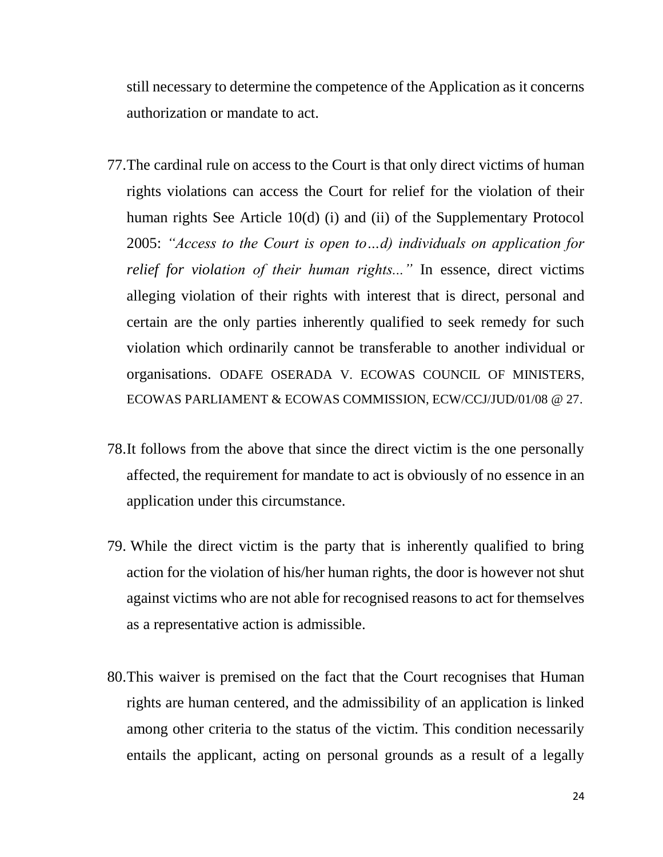still necessary to determine the competence of the Application as it concerns authorization or mandate to act.

- 77.The cardinal rule on access to the Court is that only direct victims of human rights violations can access the Court for relief for the violation of their human rights See Article 10(d) (i) and (ii) of the Supplementary Protocol 2005: *"Access to the Court is open to…d) individuals on application for relief for violation of their human rights...*" In essence, direct victims alleging violation of their rights with interest that is direct, personal and certain are the only parties inherently qualified to seek remedy for such violation which ordinarily cannot be transferable to another individual or organisations. ODAFE OSERADA V. ECOWAS COUNCIL OF MINISTERS, ECOWAS PARLIAMENT & ECOWAS COMMISSION, ECW/CCJ/JUD/01/08 @ 27.
- 78.It follows from the above that since the direct victim is the one personally affected, the requirement for mandate to act is obviously of no essence in an application under this circumstance.
- 79. While the direct victim is the party that is inherently qualified to bring action for the violation of his/her human rights, the door is however not shut against victims who are not able for recognised reasons to act for themselves as a representative action is admissible.
- 80.This waiver is premised on the fact that the Court recognises that Human rights are human centered, and the admissibility of an application is linked among other criteria to the status of the victim. This condition necessarily entails the applicant, acting on personal grounds as a result of a legally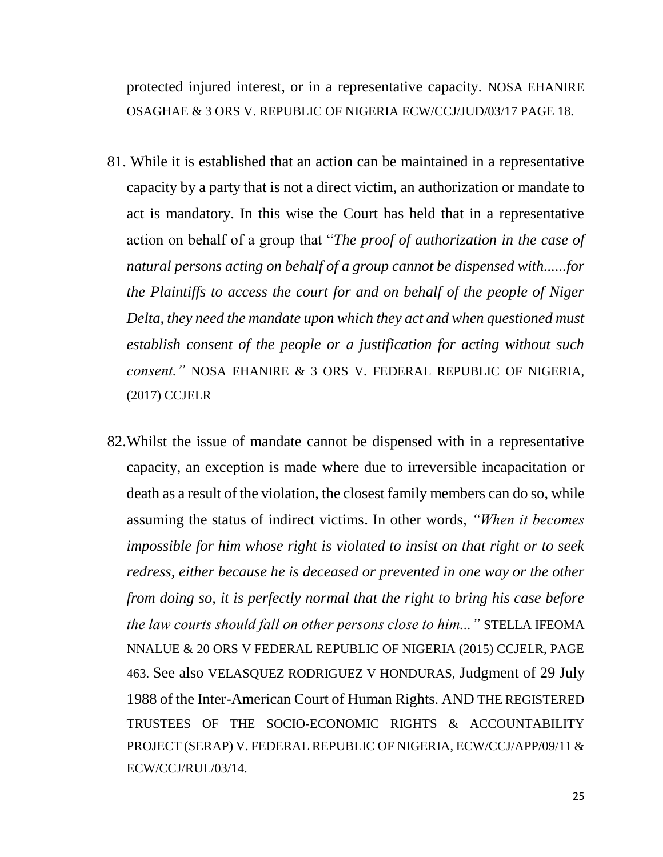protected injured interest, or in a representative capacity. NOSA EHANIRE OSAGHAE & 3 ORS V. REPUBLIC OF NIGERIA ECW/CCJ/JUD/03/17 PAGE 18.

- 81. While it is established that an action can be maintained in a representative capacity by a party that is not a direct victim, an authorization or mandate to act is mandatory. In this wise the Court has held that in a representative action on behalf of a group that "*The proof of authorization in the case of natural persons acting on behalf of a group cannot be dispensed with......for the Plaintiffs to access the court for and on behalf of the people of Niger Delta, they need the mandate upon which they act and when questioned must establish consent of the people or a justification for acting without such consent."* NOSA EHANIRE & 3 ORS V. FEDERAL REPUBLIC OF NIGERIA, (2017) CCJELR
- 82.Whilst the issue of mandate cannot be dispensed with in a representative capacity, an exception is made where due to irreversible incapacitation or death as a result of the violation, the closest family members can do so, while assuming the status of indirect victims. In other words, *"When it becomes impossible for him whose right is violated to insist on that right or to seek redress, either because he is deceased or prevented in one way or the other from doing so, it is perfectly normal that the right to bring his case before the law courts should fall on other persons close to him..."* STELLA IFEOMA NNALUE & 20 ORS V FEDERAL REPUBLIC OF NIGERIA (2015) CCJELR, PAGE 463. See also VELASQUEZ RODRIGUEZ V HONDURAS, Judgment of 29 July 1988 of the Inter-American Court of Human Rights. AND THE REGISTERED TRUSTEES OF THE SOCIO-ECONOMIC RIGHTS & ACCOUNTABILITY PROJECT (SERAP) V. FEDERAL REPUBLIC OF NIGERIA, ECW/CCJ/APP/09/11 & ECW/CCJ/RUL/03/14.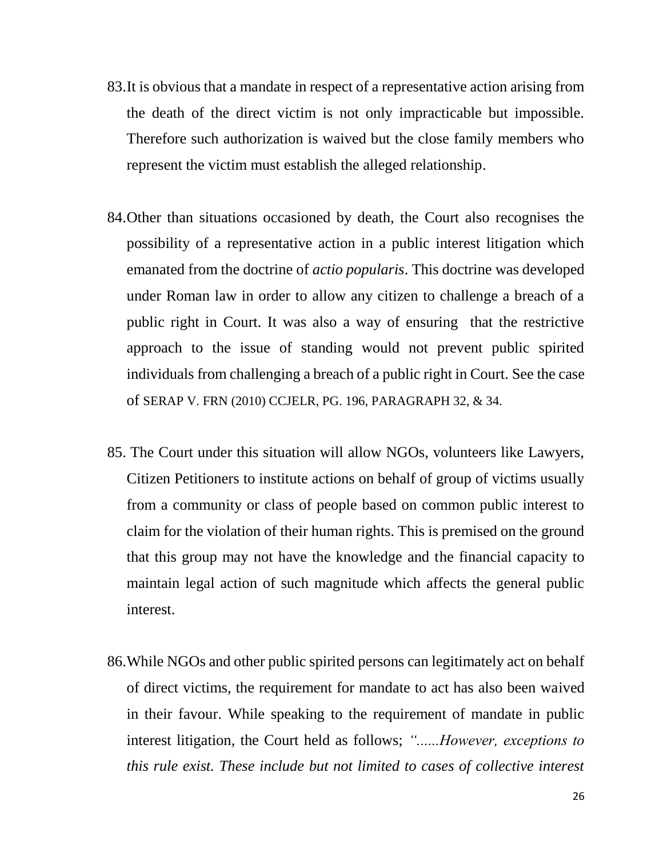- 83.It is obvious that a mandate in respect of a representative action arising from the death of the direct victim is not only impracticable but impossible. Therefore such authorization is waived but the close family members who represent the victim must establish the alleged relationship.
- 84.Other than situations occasioned by death, the Court also recognises the possibility of a representative action in a public interest litigation which emanated from the doctrine of *actio popularis*. This doctrine was developed under Roman law in order to allow any citizen to challenge a breach of a public right in Court. It was also a way of ensuring that the restrictive approach to the issue of standing would not prevent public spirited individuals from challenging a breach of a public right in Court. See the case of SERAP V. FRN (2010) CCJELR, PG. 196, PARAGRAPH 32, & 34.
- 85. The Court under this situation will allow NGOs, volunteers like Lawyers, Citizen Petitioners to institute actions on behalf of group of victims usually from a community or class of people based on common public interest to claim for the violation of their human rights. This is premised on the ground that this group may not have the knowledge and the financial capacity to maintain legal action of such magnitude which affects the general public interest.
- 86.While NGOs and other public spirited persons can legitimately act on behalf of direct victims, the requirement for mandate to act has also been waived in their favour. While speaking to the requirement of mandate in public interest litigation, the Court held as follows; *"......However, exceptions to this rule exist. These include but not limited to cases of collective interest*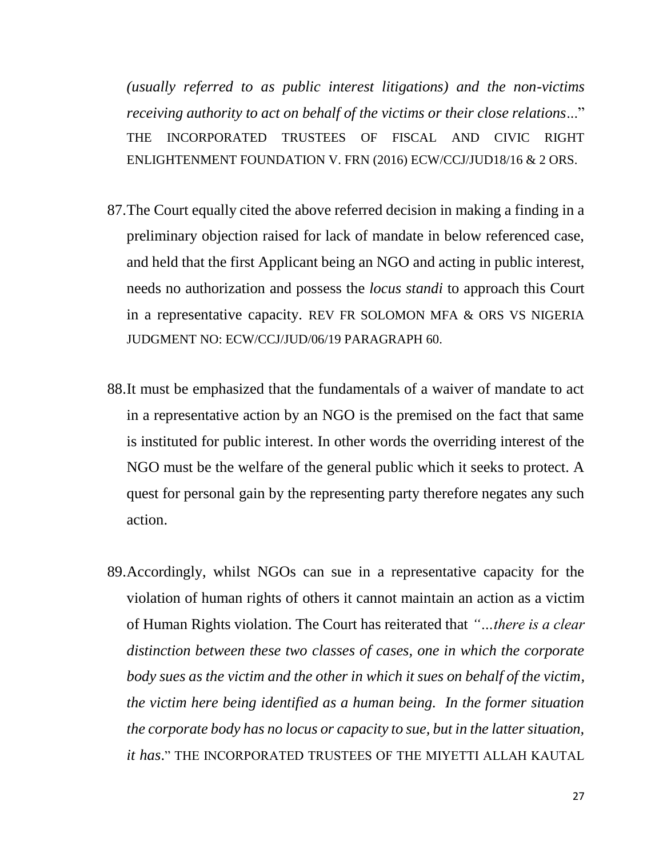*(usually referred to as public interest litigations) and the non-victims receiving authority to act on behalf of the victims or their close relations*..." THE INCORPORATED TRUSTEES OF FISCAL AND CIVIC RIGHT ENLIGHTENMENT FOUNDATION V. FRN (2016) ECW/CCJ/JUD18/16 & 2 ORS.

- 87.The Court equally cited the above referred decision in making a finding in a preliminary objection raised for lack of mandate in below referenced case, and held that the first Applicant being an NGO and acting in public interest, needs no authorization and possess the *locus standi* to approach this Court in a representative capacity. REV FR SOLOMON MFA & ORS VS NIGERIA JUDGMENT NO: ECW/CCJ/JUD/06/19 PARAGRAPH 60.
- 88.It must be emphasized that the fundamentals of a waiver of mandate to act in a representative action by an NGO is the premised on the fact that same is instituted for public interest. In other words the overriding interest of the NGO must be the welfare of the general public which it seeks to protect. A quest for personal gain by the representing party therefore negates any such action.
- 89.Accordingly, whilst NGOs can sue in a representative capacity for the violation of human rights of others it cannot maintain an action as a victim of Human Rights violation. The Court has reiterated that *"…there is a clear distinction between these two classes of cases, one in which the corporate body sues as the victim and the other in which it sues on behalf of the victim, the victim here being identified as a human being. In the former situation the corporate body has no locus or capacity to sue, but in the latter situation, it has*." THE INCORPORATED TRUSTEES OF THE MIYETTI ALLAH KAUTAL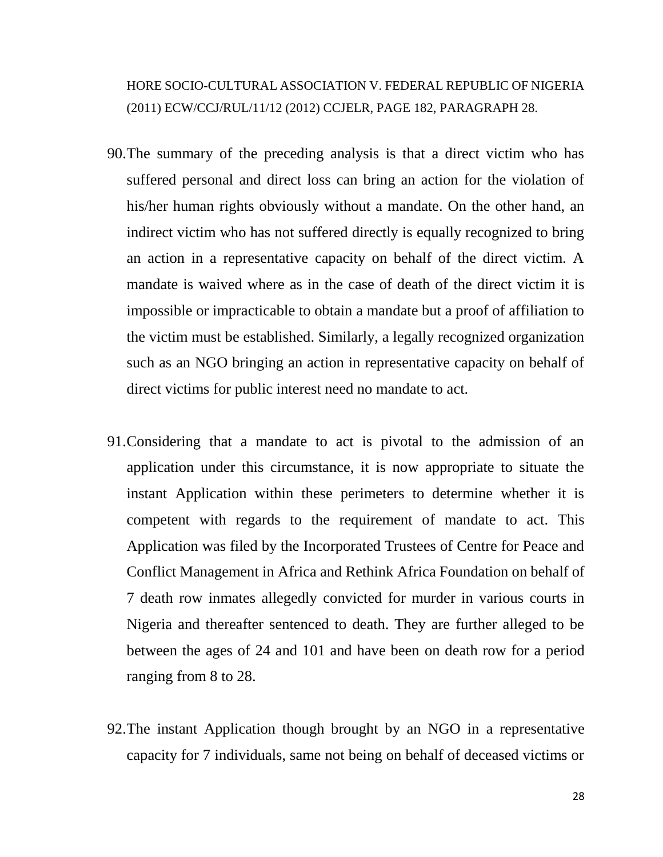## HORE SOCIO-CULTURAL ASSOCIATION V. FEDERAL REPUBLIC OF NIGERIA (2011) ECW/CCJ/RUL/11/12 (2012) CCJELR, PAGE 182, PARAGRAPH 28.

- 90.The summary of the preceding analysis is that a direct victim who has suffered personal and direct loss can bring an action for the violation of his/her human rights obviously without a mandate. On the other hand, an indirect victim who has not suffered directly is equally recognized to bring an action in a representative capacity on behalf of the direct victim. A mandate is waived where as in the case of death of the direct victim it is impossible or impracticable to obtain a mandate but a proof of affiliation to the victim must be established. Similarly, a legally recognized organization such as an NGO bringing an action in representative capacity on behalf of direct victims for public interest need no mandate to act.
- 91.Considering that a mandate to act is pivotal to the admission of an application under this circumstance, it is now appropriate to situate the instant Application within these perimeters to determine whether it is competent with regards to the requirement of mandate to act. This Application was filed by the Incorporated Trustees of Centre for Peace and Conflict Management in Africa and Rethink Africa Foundation on behalf of 7 death row inmates allegedly convicted for murder in various courts in Nigeria and thereafter sentenced to death. They are further alleged to be between the ages of 24 and 101 and have been on death row for a period ranging from 8 to 28.
- 92.The instant Application though brought by an NGO in a representative capacity for 7 individuals, same not being on behalf of deceased victims or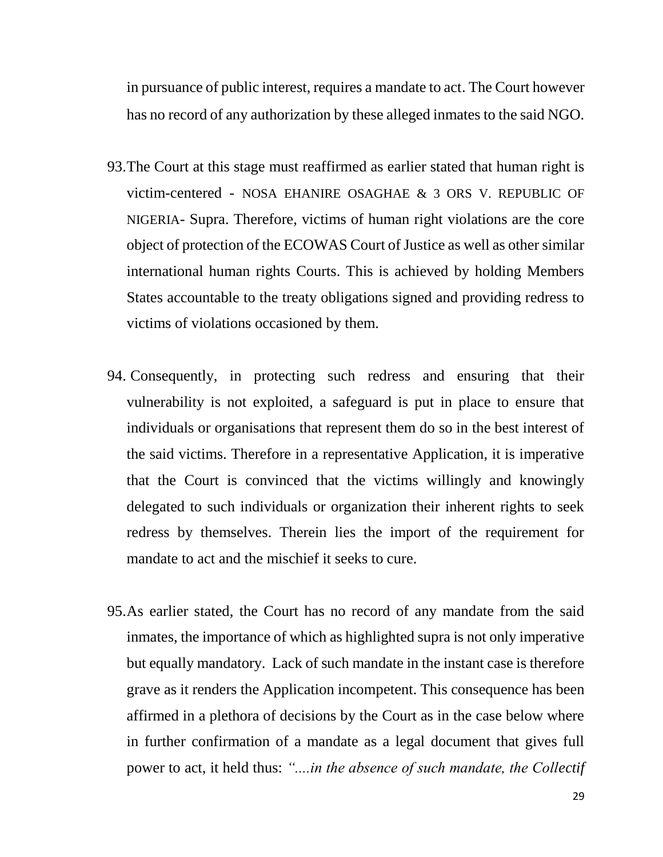in pursuance of public interest, requires a mandate to act. The Court however has no record of any authorization by these alleged inmates to the said NGO.

- 93.The Court at this stage must reaffirmed as earlier stated that human right is victim-centered - NOSA EHANIRE OSAGHAE & 3 ORS V. REPUBLIC OF NIGERIA- Supra. Therefore, victims of human right violations are the core object of protection of the ECOWAS Court of Justice as well as other similar international human rights Courts. This is achieved by holding Members States accountable to the treaty obligations signed and providing redress to victims of violations occasioned by them.
- 94. Consequently, in protecting such redress and ensuring that their vulnerability is not exploited, a safeguard is put in place to ensure that individuals or organisations that represent them do so in the best interest of the said victims. Therefore in a representative Application, it is imperative that the Court is convinced that the victims willingly and knowingly delegated to such individuals or organization their inherent rights to seek redress by themselves. Therein lies the import of the requirement for mandate to act and the mischief it seeks to cure.
- 95.As earlier stated, the Court has no record of any mandate from the said inmates, the importance of which as highlighted supra is not only imperative but equally mandatory. Lack of such mandate in the instant case is therefore grave as it renders the Application incompetent. This consequence has been affirmed in a plethora of decisions by the Court as in the case below where in further confirmation of a mandate as a legal document that gives full power to act, it held thus: *"....in the absence of such mandate, the Collectif*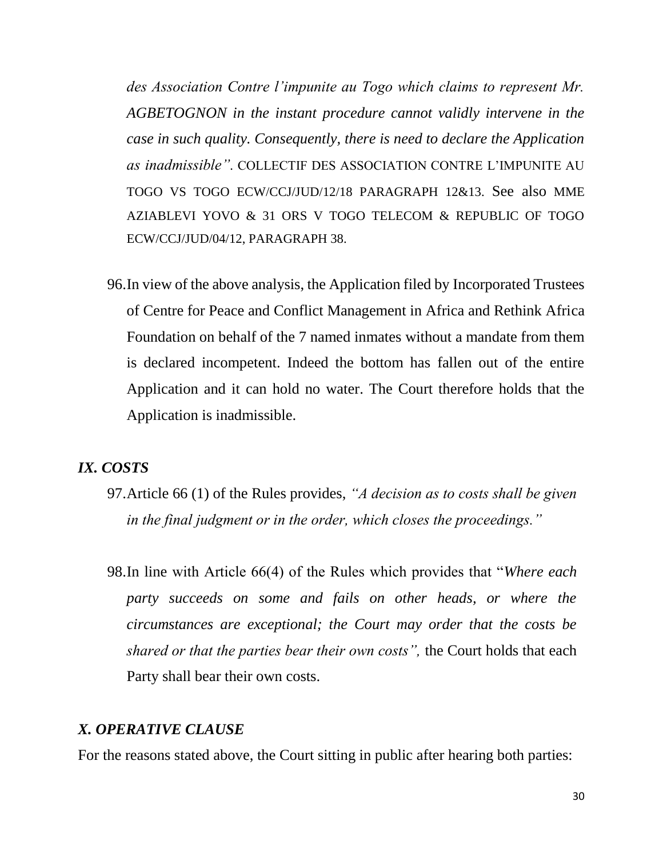*des Association Contre l'impunite au Togo which claims to represent Mr. AGBETOGNON in the instant procedure cannot validly intervene in the case in such quality. Consequently, there is need to declare the Application as inadmissible".* COLLECTIF DES ASSOCIATION CONTRE L'IMPUNITE AU TOGO VS TOGO ECW/CCJ/JUD/12/18 PARAGRAPH 12&13. See also MME AZIABLEVI YOVO & 31 ORS V TOGO TELECOM & REPUBLIC OF TOGO ECW/CCJ/JUD/04/12, PARAGRAPH 38.

96.In view of the above analysis, the Application filed by Incorporated Trustees of Centre for Peace and Conflict Management in Africa and Rethink Africa Foundation on behalf of the 7 named inmates without a mandate from them is declared incompetent. Indeed the bottom has fallen out of the entire Application and it can hold no water. The Court therefore holds that the Application is inadmissible.

## *IX. COSTS*

- 97.Article 66 (1) of the Rules provides, *"A decision as to costs shall be given in the final judgment or in the order, which closes the proceedings."*
- 98.In line with Article 66(4) of the Rules which provides that "*Where each party succeeds on some and fails on other heads, or where the circumstances are exceptional; the Court may order that the costs be shared or that the parties bear their own costs",* the Court holds that each Party shall bear their own costs.

## *X. OPERATIVE CLAUSE*

For the reasons stated above, the Court sitting in public after hearing both parties: